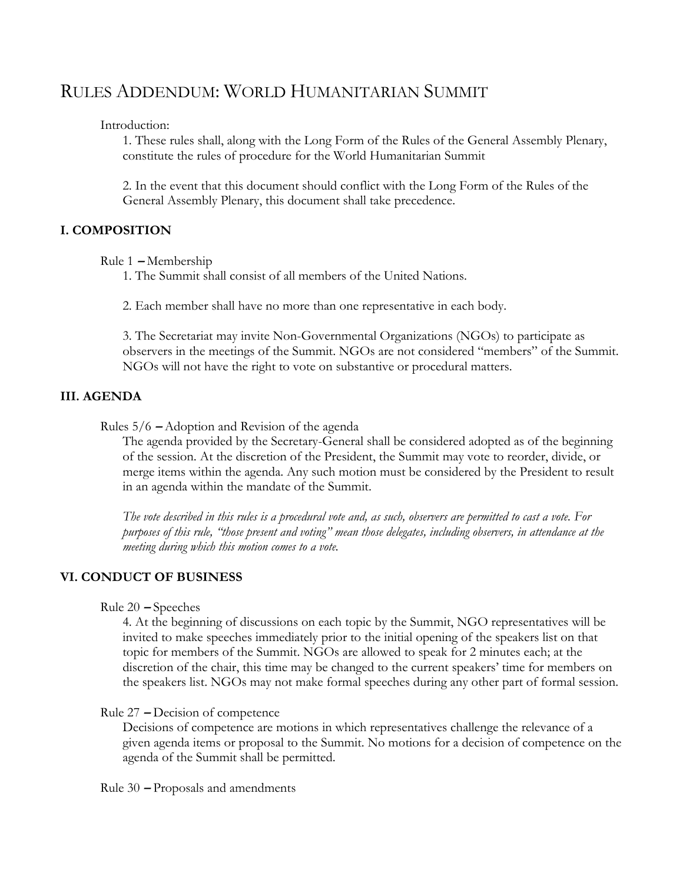# RULES ADDENDUM: WORLD HUMANITARIAN SUMMIT

Introduction:

1. These rules shall, along with the Long Form of the Rules of the General Assembly Plenary, constitute the rules of procedure for the World Humanitarian Summit

2. In the event that this document should conflict with the Long Form of the Rules of the General Assembly Plenary, this document shall take precedence.

### **I. COMPOSITION**

Rule 1 **–** Membership

1. The Summit shall consist of all members of the United Nations.

2. Each member shall have no more than one representative in each body.

3. The Secretariat may invite Non-Governmental Organizations (NGOs) to participate as observers in the meetings of the Summit. NGOs are not considered "members" of the Summit. NGOs will not have the right to vote on substantive or procedural matters.

### **III. AGENDA**

Rules 5/6 **–** Adoption and Revision of the agenda

The agenda provided by the Secretary-General shall be considered adopted as of the beginning of the session. At the discretion of the President, the Summit may vote to reorder, divide, or merge items within the agenda. Any such motion must be considered by the President to result in an agenda within the mandate of the Summit.

*The vote described in this rules is a procedural vote and, as such, observers are permitted to cast a vote. For purposes of this rule, "those present and voting" mean those delegates, including observers, in attendance at the meeting during which this motion comes to a vote.* 

## **VI. CONDUCT OF BUSINESS**

Rule 20 **–** Speeches

4. At the beginning of discussions on each topic by the Summit, NGO representatives will be invited to make speeches immediately prior to the initial opening of the speakers list on that topic for members of the Summit. NGOs are allowed to speak for 2 minutes each; at the discretion of the chair, this time may be changed to the current speakers' time for members on the speakers list. NGOs may not make formal speeches during any other part of formal session.

#### Rule 27 **–** Decision of competence

Decisions of competence are motions in which representatives challenge the relevance of a given agenda items or proposal to the Summit. No motions for a decision of competence on the agenda of the Summit shall be permitted.

Rule 30 **–** Proposals and amendments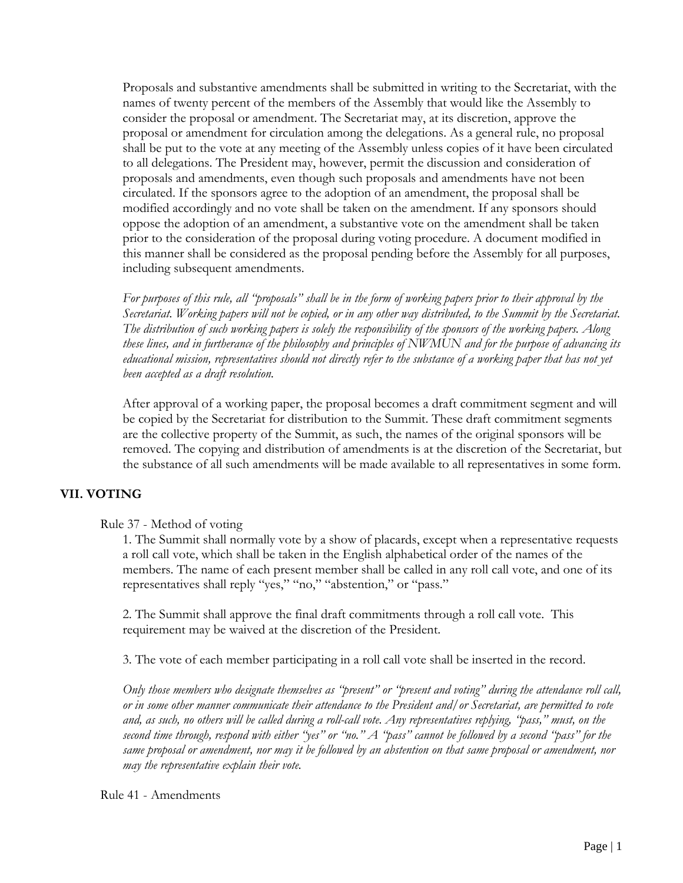Proposals and substantive amendments shall be submitted in writing to the Secretariat, with the names of twenty percent of the members of the Assembly that would like the Assembly to consider the proposal or amendment. The Secretariat may, at its discretion, approve the proposal or amendment for circulation among the delegations. As a general rule, no proposal shall be put to the vote at any meeting of the Assembly unless copies of it have been circulated to all delegations. The President may, however, permit the discussion and consideration of proposals and amendments, even though such proposals and amendments have not been circulated. If the sponsors agree to the adoption of an amendment, the proposal shall be modified accordingly and no vote shall be taken on the amendment. If any sponsors should oppose the adoption of an amendment, a substantive vote on the amendment shall be taken prior to the consideration of the proposal during voting procedure. A document modified in this manner shall be considered as the proposal pending before the Assembly for all purposes, including subsequent amendments.

*For purposes of this rule, all "proposals" shall be in the form of working papers prior to their approval by the Secretariat. Working papers will not be copied, or in any other way distributed, to the Summit by the Secretariat. The distribution of such working papers is solely the responsibility of the sponsors of the working papers. Along these lines, and in furtherance of the philosophy and principles of NWMUN and for the purpose of advancing its educational mission, representatives should not directly refer to the substance of a working paper that has not yet been accepted as a draft resolution.* 

After approval of a working paper, the proposal becomes a draft commitment segment and will be copied by the Secretariat for distribution to the Summit. These draft commitment segments are the collective property of the Summit, as such, the names of the original sponsors will be removed. The copying and distribution of amendments is at the discretion of the Secretariat, but the substance of all such amendments will be made available to all representatives in some form.

## **VII. VOTING**

#### Rule 37 - Method of voting

1. The Summit shall normally vote by a show of placards, except when a representative requests a roll call vote, which shall be taken in the English alphabetical order of the names of the members. The name of each present member shall be called in any roll call vote, and one of its representatives shall reply "yes," "no," "abstention," or "pass."

2. The Summit shall approve the final draft commitments through a roll call vote. This requirement may be waived at the discretion of the President.

3. The vote of each member participating in a roll call vote shall be inserted in the record.

*Only those members who designate themselves as "present" or "present and voting" during the attendance roll call, or in some other manner communicate their attendance to the President and/or Secretariat, are permitted to vote and, as such, no others will be called during a roll-call vote. Any representatives replying, "pass," must, on the second time through, respond with either "yes" or "no." A "pass" cannot be followed by a second "pass" for the same proposal or amendment, nor may it be followed by an abstention on that same proposal or amendment, nor may the representative explain their vote.* 

Rule 41 - Amendments